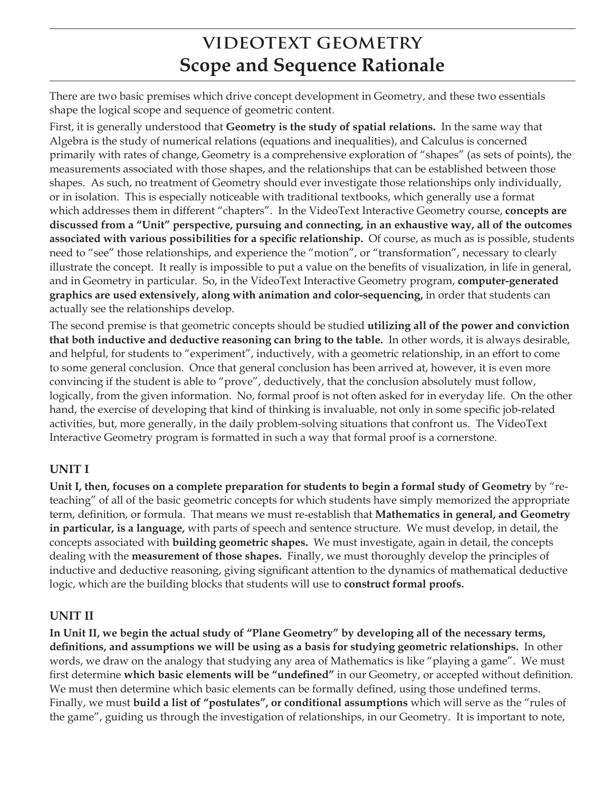# **VIDEOTEXT GEOMETRY Scope and Sequence Rationale**

There are two basic premises which drive concept development in Geometry, and these two essentials shape the logical scope and sequence of geometric content.

First, it is generally understood that **Geometry is the study of spatial relations.** In the same way that Algebra is the study of numerical relations (equations and inequalities), and Calculus is concerned primarily with rates of change, Geometry is a comprehensive exploration of "shapes" (as sets of points), the measurements associated with those shapes, and the relationships that can be established between those shapes. As such, no treatment of Geometry should ever investigate those relationships only individually, or in isolation. This is especially noticeable with traditional textbooks, which generally use a format which addresses them in different "chapters". In the VideoText Interactive Geometry course, **concepts are discussed from a "Unit" perspective, pursuing and connecting, in an exhaustive way, all of the outcomes associated with various possibilities for a specific relationship.** Of course, as much as is possible, students need to "see" those relationships, and experience the "motion", or "transformation", necessary to clearly illustrate the concept. It really is impossible to put a value on the benefits of visualization, in life in general, and in Geometry in particular. So, in the VideoText Interactive Geometry program, **computer-generated graphics are used extensively, along with animation and color-sequencing,** in order that students can actually see the relationships develop.

The second premise is that geometric concepts should be studied **utilizing all of the power and conviction that both inductive and deductive reasoning can bring to the table.** In other words, it is always desirable, and helpful, for students to "experiment", inductively, with a geometric relationship, in an effort to come to some general conclusion. Once that general conclusion has been arrived at, however, it is even more convincing if the student is able to "prove", deductively, that the conclusion absolutely must follow, logically, from the given information. No, formal proof is not often asked for in everyday life. On the other hand, the exercise of developing that kind of thinking is invaluable, not only in some specific job-related activities, but, more generally, in the daily problem-solving situations that confront us. The VideoText Interactive Geometry program is formatted in such a way that formal proof is a cornerstone.

### **UNIT I**

**Unit I, then, focuses on a complete preparation for students to begin a formal study of Geometry** by "reteaching" of all of the basic geometric concepts for which students have simply memorized the appropriate term, definition, or formula. That means we must re-establish that **Mathematics in general, and Geometry in particular, is a language,** with parts of speech and sentence structure. We must develop, in detail, the concepts associated with **building geometric shapes.** We must investigate, again in detail, the concepts dealing with the **measurement of those shapes.** Finally, we must thoroughly develop the principles of inductive and deductive reasoning, giving significant attention to the dynamics of mathematical deductive logic, which are the building blocks that students will use to **construct formal proofs.**

## **UNIT II**

**In Unit II, we begin the actual study of "Plane Geometry" by developing all of the necessary terms, definitions, and assumptions we will be using as a basis for studying geometric relationships.** In other words, we draw on the analogy that studying any area of Mathematics is like "playing a game". We must first determine **which basic elements will be "undefined"** in our Geometry, or accepted without definition. We must then determine which basic elements can be formally defined, using those undefined terms. Finally, we must **build a list of "postulates", or conditional assumptions** which will serve as the "rules of the game", guiding us through the investigation of relationships, in our Geometry. It is important to note,